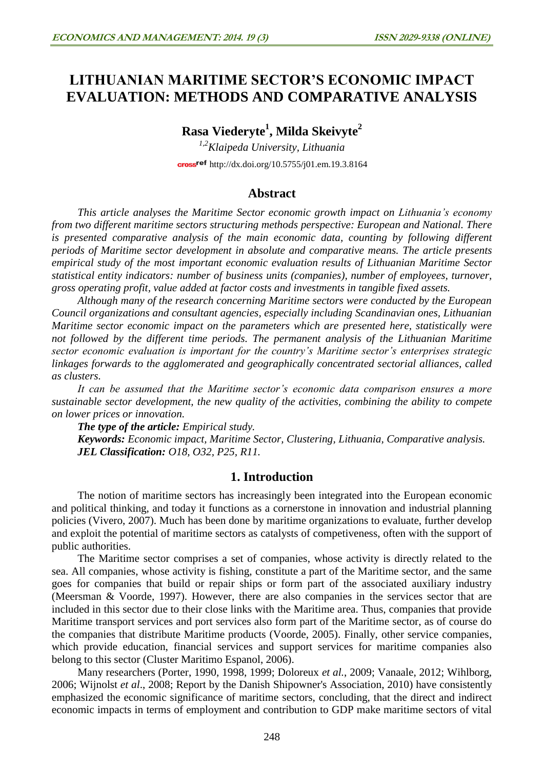# **LITHUANIAN MARITIME SECTOR'S ECONOMIC IMPACT EVALUATION: METHODS AND COMPARATIVE ANALYSIS**

**Rasa Viederyte 1 , Milda Skeivyte 2**

*1,2Klaipeda University, Lithuania* cross<sup>ref</sup> <http://dx.doi.org/10.5755/j01.em.19.3.8164>

## **Abstract**

*This article analyses the Maritime Sector economic growth impact on Lithuania's economy from two different maritime sectors structuring methods perspective: European and National. There is presented comparative analysis of the main economic data, counting by following different periods of Maritime sector development in absolute and comparative means. The article presents empirical study of the most important economic evaluation results of Lithuanian Maritime Sector statistical entity indicators: number of business units (companies), number of employees, turnover, gross operating profit, value added at factor costs and investments in tangible fixed assets.*

*Although many of the research concerning Maritime sectors were conducted by the European Council organizations and consultant agencies, especially including Scandinavian ones, Lithuanian Maritime sector economic impact on the parameters which are presented here, statistically were not followed by the different time periods. The permanent analysis of the Lithuanian Maritime sector economic evaluation is important for the country's Maritime sector's enterprises strategic linkages forwards to the agglomerated and geographically concentrated sectorial alliances, called as clusters.*

*It can be assumed that the Maritime sector's economic data comparison ensures a more sustainable sector development, the new quality of the activities, combining the ability to compete on lower prices or innovation.*

*The type of the article: Empirical study. Keywords: Economic impact, Maritime Sector, Clustering, Lithuania, Comparative analysis. JEL Classification: O18, O32, P25, R11.*

#### **1. Introduction**

The notion of maritime sectors has increasingly been integrated into the European economic and political thinking, and today it functions as a cornerstone in innovation and industrial planning policies (Vivero, 2007). Much has been done by maritime organizations to evaluate, further develop and exploit the potential of maritime sectors as catalysts of competiveness, often with the support of public authorities.

The Maritime sector comprises a set of companies, whose activity is directly related to the sea. All companies, whose activity is fishing, constitute a part of the Maritime sector, and the same goes for companies that build or repair ships or form part of the associated auxiliary industry (Meersman & Voorde, 1997). However, there are also companies in the services sector that are included in this sector due to their close links with the Maritime area. Thus, companies that provide Maritime transport services and port services also form part of the Maritime sector, as of course do the companies that distribute Maritime products (Voorde, 2005). Finally, other service companies, which provide education, financial services and support services for maritime companies also belong to this sector (Cluster Maritimo Espanol, 2006).

Many researchers (Porter, 1990, 1998, 1999; Doloreux *et al.*, 2009; Vanaale, 2012; Wihlborg, 2006; Wijnolst *et al*., 2008; Report by the Danish Shipowner's Association, 2010) have consistently emphasized the economic significance of maritime sectors, concluding, that the direct and indirect economic impacts in terms of employment and contribution to GDP make maritime sectors of vital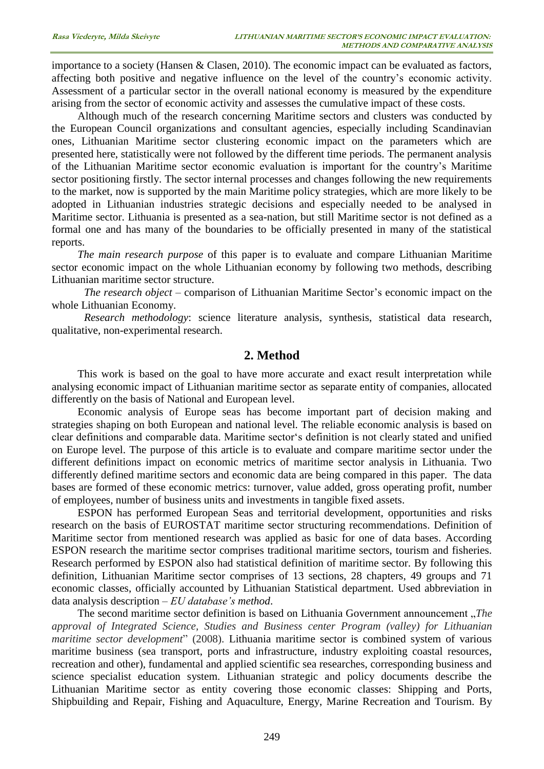importance to a society (Hansen & Clasen, 2010). The economic impact can be evaluated as factors, affecting both positive and negative influence on the level of the country's economic activity. Assessment of a particular sector in the overall national economy is measured by the expenditure arising from the sector of economic activity and assesses the cumulative impact of these costs.

Although much of the research concerning Maritime sectors and clusters was conducted by the European Council organizations and consultant agencies, especially including Scandinavian ones, Lithuanian Maritime sector clustering economic impact on the parameters which are presented here, statistically were not followed by the different time periods. The permanent analysis of the Lithuanian Maritime sector economic evaluation is important for the country's Maritime sector positioning firstly. The sector internal processes and changes following the new requirements to the market, now is supported by the main Maritime policy strategies, which are more likely to be adopted in Lithuanian industries strategic decisions and especially needed to be analysed in Maritime sector. Lithuania is presented as a sea-nation, but still Maritime sector is not defined as a formal one and has many of the boundaries to be officially presented in many of the statistical reports.

*The main research purpose* of this paper is to evaluate and compare Lithuanian Maritime sector economic impact on the whole Lithuanian economy by following two methods, describing Lithuanian maritime sector structure.

*The research object* – comparison of Lithuanian Maritime Sector's economic impact on the whole Lithuanian Economy.

*Research methodology*: science literature analysis, synthesis, statistical data research, qualitative, non-experimental research.

### **2. Method**

This work is based on the goal to have more accurate and exact result interpretation while analysing economic impact of Lithuanian maritime sector as separate entity of companies, allocated differently on the basis of National and European level.

Economic analysis of Europe seas has become important part of decision making and strategies shaping on both European and national level. The reliable economic analysis is based on clear definitions and comparable data. Maritime sector's definition is not clearly stated and unified on Europe level. The purpose of this article is to evaluate and compare maritime sector under the different definitions impact on economic metrics of maritime sector analysis in Lithuania. Two differently defined maritime sectors and economic data are being compared in this paper. The data bases are formed of these economic metrics: turnover, value added, gross operating profit, number of employees, number of business units and investments in tangible fixed assets.

ESPON has performed European Seas and territorial development, opportunities and risks research on the basis of EUROSTAT maritime sector structuring recommendations. Definition of Maritime sector from mentioned research was applied as basic for one of data bases. According ESPON research the maritime sector comprises traditional maritime sectors, tourism and fisheries. Research performed by ESPON also had statistical definition of maritime sector. By following this definition, Lithuanian Maritime sector comprises of 13 sections, 28 chapters, 49 groups and 71 economic classes, officially accounted by Lithuanian Statistical department. Used abbreviation in data analysis description – *EU database's method*.

The second maritime sector definition is based on Lithuania Government announcement "*The approval of Integrated Science, Studies and Business center Program (valley) for Lithuanian maritime sector development*" (2008). Lithuania maritime sector is combined system of various maritime business (sea transport, ports and infrastructure, industry exploiting coastal resources, recreation and other), fundamental and applied scientific sea researches, corresponding business and science specialist education system. Lithuanian strategic and policy documents describe the Lithuanian Maritime sector as entity covering those economic classes: Shipping and Ports, Shipbuilding and Repair, Fishing and Aquaculture, Energy, Marine Recreation and Tourism. By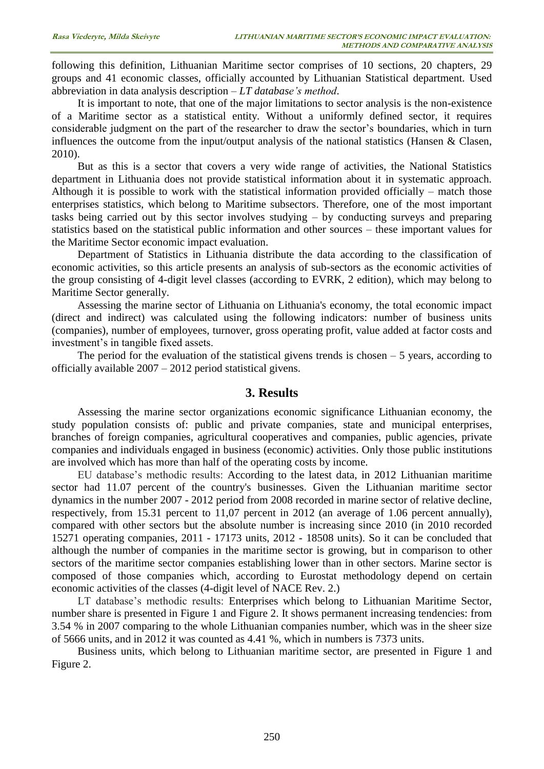following this definition, Lithuanian Maritime sector comprises of 10 sections, 20 chapters, 29 groups and 41 economic classes, officially accounted by Lithuanian Statistical department. Used abbreviation in data analysis description – *LT database's method*.

It is important to note, that one of the major limitations to sector analysis is the non-existence of a Maritime sector as a statistical entity. Without a uniformly defined sector, it requires considerable judgment on the part of the researcher to draw the sector's boundaries, which in turn influences the outcome from the input/output analysis of the national statistics (Hansen & Clasen, 2010).

But as this is a sector that covers a very wide range of activities, the National Statistics department in Lithuania does not provide statistical information about it in systematic approach. Although it is possible to work with the statistical information provided officially – match those enterprises statistics, which belong to Maritime subsectors. Therefore, one of the most important tasks being carried out by this sector involves studying – by conducting surveys and preparing statistics based on the statistical public information and other sources – these important values for the Maritime Sector economic impact evaluation.

Department of Statistics in Lithuania distribute the data according to the classification of economic activities, so this article presents an analysis of sub-sectors as the economic activities of the group consisting of 4-digit level classes (according to EVRK, 2 edition), which may belong to Maritime Sector generally.

Assessing the marine sector of Lithuania on Lithuania's economy, the total economic impact (direct and indirect) was calculated using the following indicators: number of business units (companies), number of employees, turnover, gross operating profit, value added at factor costs and investment's in tangible fixed assets.

The period for the evaluation of the statistical givens trends is chosen  $-5$  years, according to officially available 2007 – 2012 period statistical givens.

## **3. Results**

Assessing the marine sector organizations economic significance Lithuanian economy, the study population consists of: public and private companies, state and municipal enterprises, branches of foreign companies, agricultural cooperatives and companies, public agencies, private companies and individuals engaged in business (economic) activities. Only those public institutions are involved which has more than half of the operating costs by income.

EU database's methodic results: According to the latest data, in 2012 Lithuanian maritime sector had 11.07 percent of the country's businesses. Given the Lithuanian maritime sector dynamics in the number 2007 - 2012 period from 2008 recorded in marine sector of relative decline, respectively, from 15.31 percent to 11,07 percent in 2012 (an average of 1.06 percent annually), compared with other sectors but the absolute number is increasing since 2010 (in 2010 recorded 15271 operating companies, 2011 - 17173 units, 2012 - 18508 units). So it can be concluded that although the number of companies in the maritime sector is growing, but in comparison to other sectors of the maritime sector companies establishing lower than in other sectors. Marine sector is composed of those companies which, according to Eurostat methodology depend on certain economic activities of the classes (4-digit level of NACE Rev. 2.)

LT database's methodic results: Enterprises which belong to Lithuanian Maritime Sector, number share is presented in Figure 1 and Figure 2. It shows permanent increasing tendencies: from 3.54 % in 2007 comparing to the whole Lithuanian companies number, which was in the sheer size of 5666 units, and in 2012 it was counted as 4.41 %, which in numbers is 7373 units.

Business units, which belong to Lithuanian maritime sector, are presented in Figure 1 and Figure 2.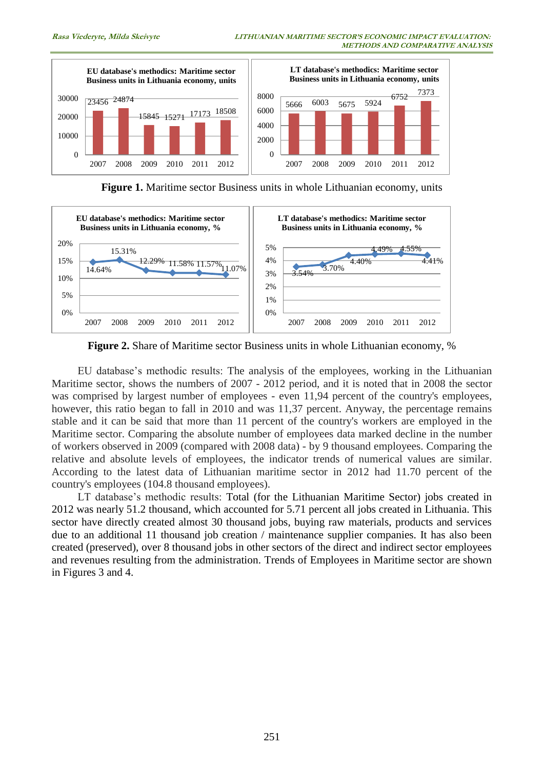

**Figure 1.** Maritime sector Business units in whole Lithuanian economy, units



**Figure 2.** Share of Maritime sector Business units in whole Lithuanian economy, %

EU database's methodic results: The analysis of the employees, working in the Lithuanian Maritime sector, shows the numbers of 2007 - 2012 period, and it is noted that in 2008 the sector was comprised by largest number of employees - even 11,94 percent of the country's employees, however, this ratio began to fall in 2010 and was 11,37 percent. Anyway, the percentage remains stable and it can be said that more than 11 percent of the country's workers are employed in the Maritime sector. Comparing the absolute number of employees data marked decline in the number of workers observed in 2009 (compared with 2008 data) - by 9 thousand employees. Comparing the relative and absolute levels of employees, the indicator trends of numerical values are similar. According to the latest data of Lithuanian maritime sector in 2012 had 11.70 percent of the country's employees (104.8 thousand employees).

LT database's methodic results: Total (for the Lithuanian Maritime Sector) jobs created in 2012 was nearly 51.2 thousand, which accounted for 5.71 percent all jobs created in Lithuania. This sector have directly created almost 30 thousand jobs, buying raw materials, products and services due to an additional 11 thousand job creation / maintenance supplier companies. It has also been created (preserved), over 8 thousand jobs in other sectors of the direct and indirect sector employees and revenues resulting from the administration. Trends of Employees in Maritime sector are shown in Figures 3 and 4.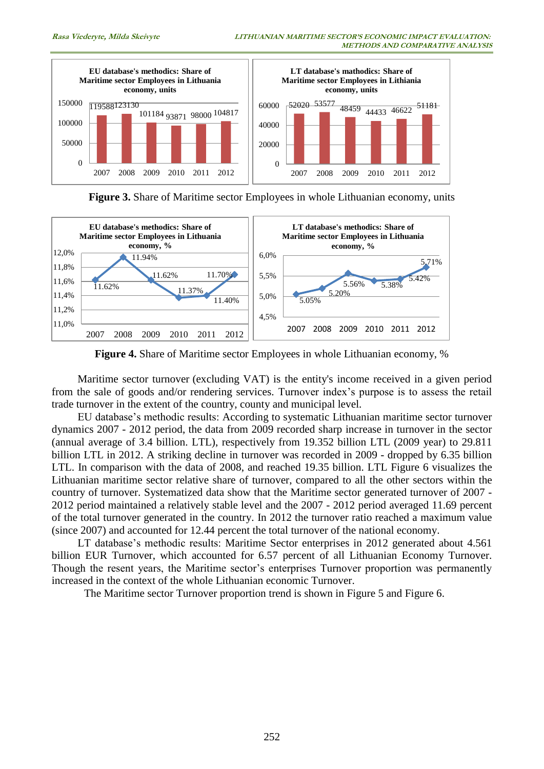

**Figure 3.** Share of Maritime sector Employees in whole Lithuanian economy, units



**Figure 4.** Share of Maritime sector Employees in whole Lithuanian economy, %

Maritime sector turnover (excluding VAT) is the entity's income received in a given period from the sale of goods and/or rendering services. Turnover index's purpose is to assess the retail trade turnover in the extent of the country, county and municipal level.

EU database's methodic results: According to systematic Lithuanian maritime sector turnover dynamics 2007 - 2012 period, the data from 2009 recorded sharp increase in turnover in the sector (annual average of 3.4 billion. LTL), respectively from 19.352 billion LTL (2009 year) to 29.811 billion LTL in 2012. A striking decline in turnover was recorded in 2009 - dropped by 6.35 billion LTL. In comparison with the data of 2008, and reached 19.35 billion. LTL Figure 6 visualizes the Lithuanian maritime sector relative share of turnover, compared to all the other sectors within the country of turnover. Systematized data show that the Maritime sector generated turnover of 2007 - 2012 period maintained a relatively stable level and the 2007 - 2012 period averaged 11.69 percent of the total turnover generated in the country. In 2012 the turnover ratio reached a maximum value (since 2007) and accounted for 12.44 percent the total turnover of the national economy.

LT database's methodic results: Maritime Sector enterprises in 2012 generated about 4.561 billion EUR Turnover, which accounted for 6.57 percent of all Lithuanian Economy Turnover. Though the resent years, the Maritime sector's enterprises Turnover proportion was permanently increased in the context of the whole Lithuanian economic Turnover.

The Maritime sector Turnover proportion trend is shown in Figure 5 and Figure 6.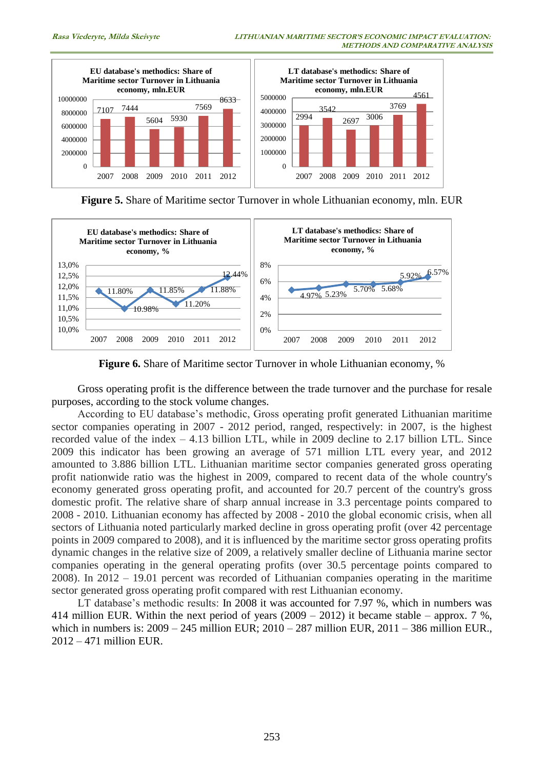

**Figure 5.** Share of Maritime sector Turnover in whole Lithuanian economy, mln. EUR



**Figure 6.** Share of Maritime sector Turnover in whole Lithuanian economy, %

Gross operating profit is the difference between the trade turnover and the purchase for resale purposes, according to the stock volume changes.

According to EU database's methodic, Gross operating profit generated Lithuanian maritime sector companies operating in 2007 - 2012 period, ranged, respectively: in 2007, is the highest recorded value of the index – 4.13 billion LTL, while in 2009 decline to 2.17 billion LTL. Since 2009 this indicator has been growing an average of 571 million LTL every year, and 2012 amounted to 3.886 billion LTL. Lithuanian maritime sector companies generated gross operating profit nationwide ratio was the highest in 2009, compared to recent data of the whole country's economy generated gross operating profit, and accounted for 20.7 percent of the country's gross domestic profit. The relative share of sharp annual increase in 3.3 percentage points compared to 2008 - 2010. Lithuanian economy has affected by 2008 - 2010 the global economic crisis, when all sectors of Lithuania noted particularly marked decline in gross operating profit (over 42 percentage points in 2009 compared to 2008), and it is influenced by the maritime sector gross operating profits dynamic changes in the relative size of 2009, a relatively smaller decline of Lithuania marine sector companies operating in the general operating profits (over 30.5 percentage points compared to 2008). In 2012 – 19.01 percent was recorded of Lithuanian companies operating in the maritime sector generated gross operating profit compared with rest Lithuanian economy.

LT database's methodic results: In 2008 it was accounted for 7.97 %, which in numbers was 414 million EUR. Within the next period of years  $(2009 - 2012)$  it became stable – approx. 7 %, which in numbers is: 2009 – 245 million EUR; 2010 – 287 million EUR, 2011 – 386 million EUR., 2012 – 471 million EUR.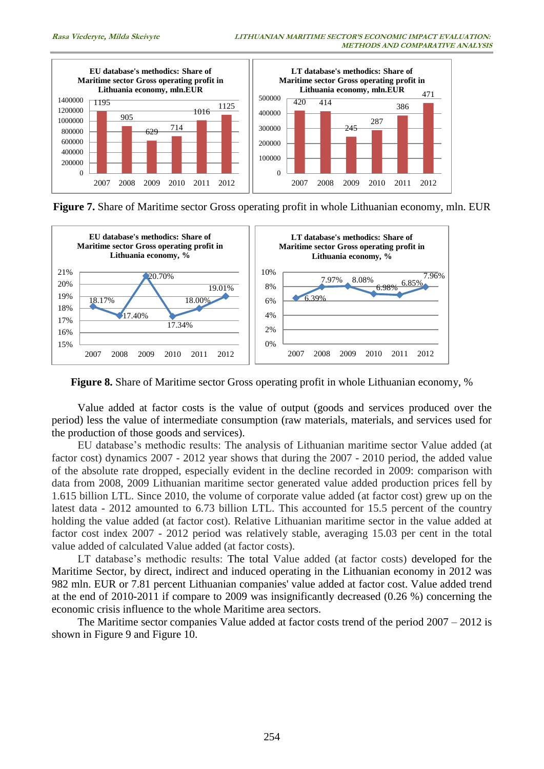

**Figure 7.** Share of Maritime sector Gross operating profit in whole Lithuanian economy, mln. EUR



**Figure 8.** Share of Maritime sector Gross operating profit in whole Lithuanian economy, %

Value added at factor costs is the value of output (goods and services produced over the period) less the value of intermediate consumption (raw materials, materials, and services used for the production of those goods and services).

EU database's methodic results: The analysis of Lithuanian maritime sector Value added (at factor cost) dynamics 2007 - 2012 year shows that during the 2007 - 2010 period, the added value of the absolute rate dropped, especially evident in the decline recorded in 2009: comparison with data from 2008, 2009 Lithuanian maritime sector generated value added production prices fell by 1.615 billion LTL. Since 2010, the volume of corporate value added (at factor cost) grew up on the latest data - 2012 amounted to 6.73 billion LTL. This accounted for 15.5 percent of the country holding the value added (at factor cost). Relative Lithuanian maritime sector in the value added at factor cost index 2007 - 2012 period was relatively stable, averaging 15.03 per cent in the total value added of calculated Value added (at factor costs).

LT database's methodic results: The total Value added (at factor costs) developed for the Maritime Sector, by direct, indirect and induced operating in the Lithuanian economy in 2012 was 982 mln. EUR or 7.81 percent Lithuanian companies' value added at factor cost. Value added trend at the end of 2010-2011 if compare to 2009 was insignificantly decreased (0.26 %) concerning the economic crisis influence to the whole Maritime area sectors.

The Maritime sector companies Value added at factor costs trend of the period 2007 – 2012 is shown in Figure 9 and Figure 10.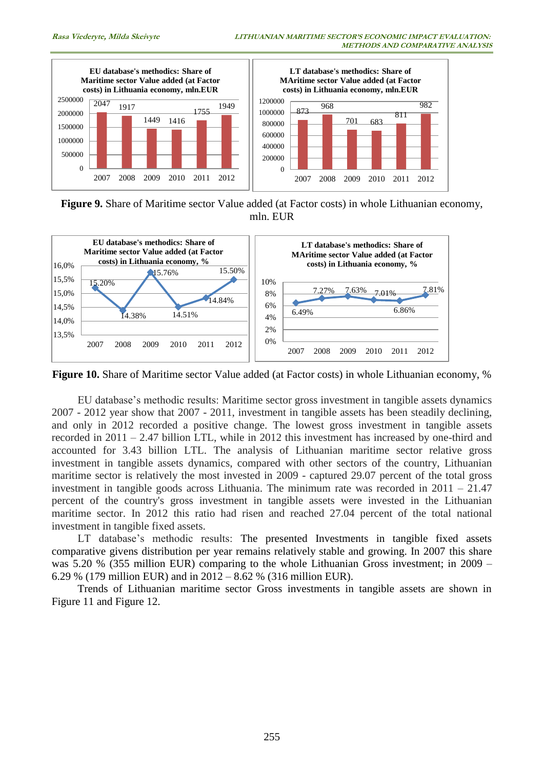





**Figure 10.** Share of Maritime sector Value added (at Factor costs) in whole Lithuanian economy, %

EU database's methodic results: Maritime sector gross investment in tangible assets dynamics 2007 - 2012 year show that 2007 - 2011, investment in tangible assets has been steadily declining, and only in 2012 recorded a positive change. The lowest gross investment in tangible assets recorded in 2011 – 2.47 billion LTL, while in 2012 this investment has increased by one-third and accounted for 3.43 billion LTL. The analysis of Lithuanian maritime sector relative gross investment in tangible assets dynamics, compared with other sectors of the country, Lithuanian maritime sector is relatively the most invested in 2009 - captured 29.07 percent of the total gross investment in tangible goods across Lithuania. The minimum rate was recorded in 2011 – 21.47 percent of the country's gross investment in tangible assets were invested in the Lithuanian maritime sector. In 2012 this ratio had risen and reached 27.04 percent of the total national investment in tangible fixed assets.

LT database's methodic results: The presented Investments in tangible fixed assets comparative givens distribution per year remains relatively stable and growing. In 2007 this share was 5.20 % (355 million EUR) comparing to the whole Lithuanian Gross investment; in 2009 – 6.29 % (179 million EUR) and in 2012 – 8.62 % (316 million EUR).

Trends of Lithuanian maritime sector Gross investments in tangible assets are shown in Figure 11 and Figure 12.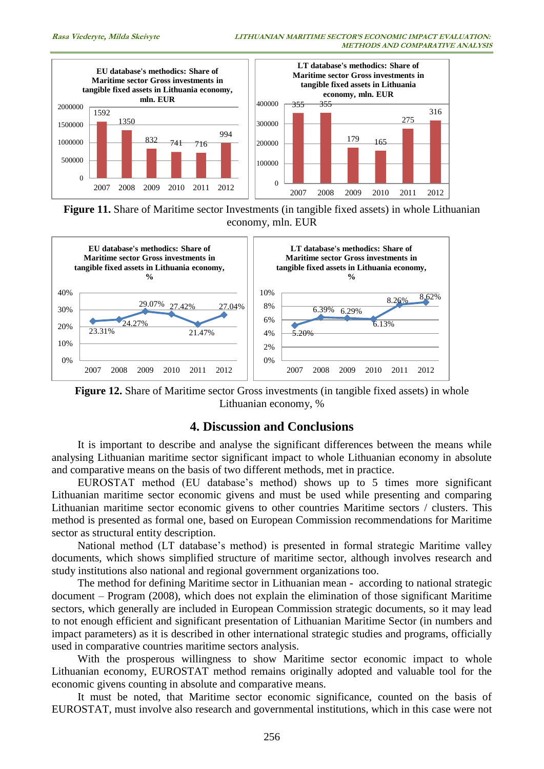

**Figure 11.** Share of Maritime sector Investments (in tangible fixed assets) in whole Lithuanian economy, mln. EUR



**Figure 12.** Share of Maritime sector Gross investments (in tangible fixed assets) in whole Lithuanian economy, %

### **4. Discussion and Conclusions**

It is important to describe and analyse the significant differences between the means while analysing Lithuanian maritime sector significant impact to whole Lithuanian economy in absolute and comparative means on the basis of two different methods, met in practice.

EUROSTAT method (EU database's method) shows up to 5 times more significant Lithuanian maritime sector economic givens and must be used while presenting and comparing Lithuanian maritime sector economic givens to other countries Maritime sectors / clusters. This method is presented as formal one, based on European Commission recommendations for Maritime sector as structural entity description.

National method (LT database's method) is presented in formal strategic Maritime valley documents, which shows simplified structure of maritime sector, although involves research and study institutions also national and regional government organizations too.

The method for defining Maritime sector in Lithuanian mean - according to national strategic document – Program (2008), which does not explain the elimination of those significant Maritime sectors, which generally are included in European Commission strategic documents, so it may lead to not enough efficient and significant presentation of Lithuanian Maritime Sector (in numbers and impact parameters) as it is described in other international strategic studies and programs, officially used in comparative countries maritime sectors analysis.

With the prosperous willingness to show Maritime sector economic impact to whole Lithuanian economy, EUROSTAT method remains originally adopted and valuable tool for the economic givens counting in absolute and comparative means.

It must be noted, that Maritime sector economic significance, counted on the basis of EUROSTAT, must involve also research and governmental institutions, which in this case were not